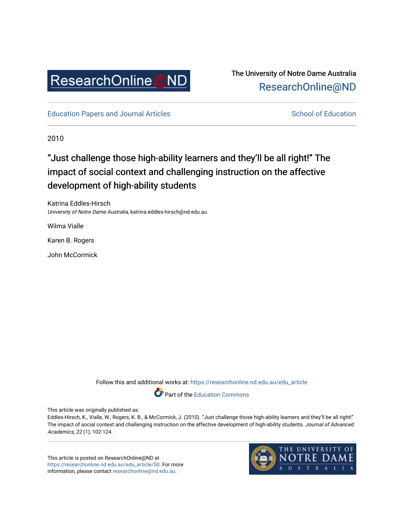

# The University of Notre Dame Australia [ResearchOnline@ND](https://researchonline.nd.edu.au/)

[Education Papers and Journal Articles](https://researchonline.nd.edu.au/edu_article) [School of Education](https://researchonline.nd.edu.au/edu) School of Education

2010

# "Just challenge those high-ability learners and they'll be all right!" The impact of social context and challenging instruction on the affective development of high-ability students

Katrina Eddles-Hirsch University of Notre Dame Australia, katrina.eddles-hirsch@nd.edu.au

Wilma Vialle

Karen B. Rogers

John McCormick

Follow this and additional works at: [https://researchonline.nd.edu.au/edu\\_article](https://researchonline.nd.edu.au/edu_article?utm_source=researchonline.nd.edu.au%2Fedu_article%2F50&utm_medium=PDF&utm_campaign=PDFCoverPages)

Part of the [Education Commons](http://network.bepress.com/hgg/discipline/784?utm_source=researchonline.nd.edu.au%2Fedu_article%2F50&utm_medium=PDF&utm_campaign=PDFCoverPages) 

This article was originally published as:

Eddles-Hirsch, K., Vialle, W., Rogers, K. B., & McCormick, J. (2010). "Just challenge those high-ability learners and they'll be all right!" The impact of social context and challenging instruction on the affective development of high-ability students. Journal of Advanced Academics, 22 (1), 102-124.

This article is posted on ResearchOnline@ND at [https://researchonline.nd.edu.au/edu\\_article/50.](https://researchonline.nd.edu.au/edu_article/50) For more information, please contact [researchonline@nd.edu.au.](mailto:researchonline@nd.edu.au)

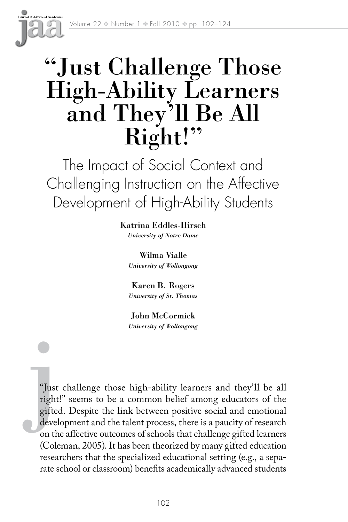

# "Just Challenge Those High-Ability Learners and They'll Be All Right!"

The Impact of Social Context and Challenging Instruction on the Affective Development of High-Ability Students

> Katrina Eddles-Hirsch *University of Notre Dame*

Wilma Vialle *University of Wollongong*

Karen B. Rogers *University of St. Thomas*

John McCormick *University of Wollongong*

"Just<br>right<br>gifted<br>devel "Just challenge those high-ability learners and they'll be all right!" seems to be a common belief among educators of the gifted. Despite the link between positive social and emotional development and the talent process, there is a paucity of research on the affective outcomes of schools that challenge gifted learners (Coleman, 2005). It has been theorized by many gifted education researchers that the specialized educational setting (e.g., a separate school or classroom) benefits academically advanced students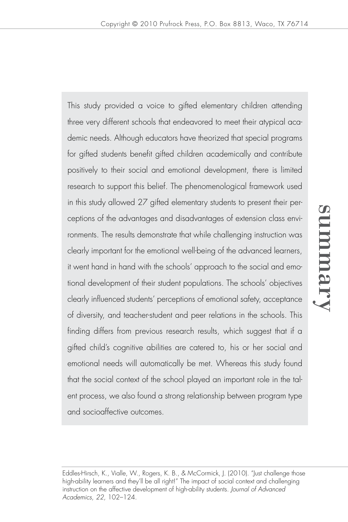This study provided a voice to gifted elementary children attending three very different schools that endeavored to meet their atypical academic needs. Although educators have theorized that special programs for gifted students benefit gifted children academically and contribute positively to their social and emotional development, there is limited research to support this belief. The phenomenological framework used in this study allowed 27 gifted elementary students to present their perceptions of the advantages and disadvantages of extension class environments. The results demonstrate that while challenging instruction was clearly important for the emotional well-being of the advanced learners, it went hand in hand with the schools' approach to the social and emotional development of their student populations. The schools' objectives clearly influenced students' perceptions of emotional safety, acceptance of diversity, and teacher-student and peer relations in the schools. This finding differs from previous research results, which suggest that if a gifted child's cognitive abilities are catered to, his or her social and emotional needs will automatically be met. Whereas this study found that the social context of the school played an important role in the talent process, we also found a strong relationship between program type and socioaffective outcomes.

Eddles-Hirsch, K., Vialle, W., Rogers, K. B., & McCormick, J. (2010). "Just challenge those high-ability learners and they'll be all right!" The impact of social context and challenging instruction on the affective development of high-ability students. *Journal of Advanced Academics, 22,* 102–124.

summusry summary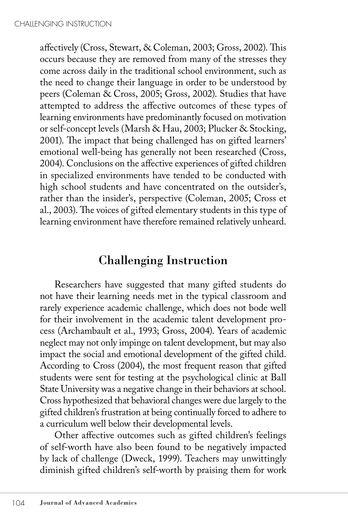affectively (Cross, Stewart, & Coleman, 2003; Gross, 2002). This occurs because they are removed from many of the stresses they come across daily in the traditional school environment, such as the need to change their language in order to be understood by peers (Coleman & Cross, 2005; Gross, 2002). Studies that have attempted to address the affective outcomes of these types of learning environments have predominantly focused on motivation or self-concept levels (Marsh & Hau, 2003; Plucker & Stocking, 2001). The impact that being challenged has on gifted learners' emotional well-being has generally not been researched (Cross, 2004). Conclusions on the affective experiences of gifted children in specialized environments have tended to be conducted with high school students and have concentrated on the outsider's, rather than the insider's, perspective (Coleman, 2005; Cross et al., 2003). The voices of gifted elementary students in this type of learning environment have therefore remained relatively unheard.

# Challenging Instruction

Researchers have suggested that many gifted students do not have their learning needs met in the typical classroom and rarely experience academic challenge, which does not bode well for their involvement in the academic talent development process (Archambault et al., 1993; Gross, 2004). Years of academic neglect may not only impinge on talent development, but may also impact the social and emotional development of the gifted child. According to Cross (2004), the most frequent reason that gifted students were sent for testing at the psychological clinic at Ball State University was a negative change in their behaviors at school. Cross hypothesized that behavioral changes were due largely to the gifted children's frustration at being continually forced to adhere to a curriculum well below their developmental levels.

Other affective outcomes such as gifted children's feelings of self-worth have also been found to be negatively impacted by lack of challenge (Dweck, 1999). Teachers may unwittingly diminish gifted children's self-worth by praising them for work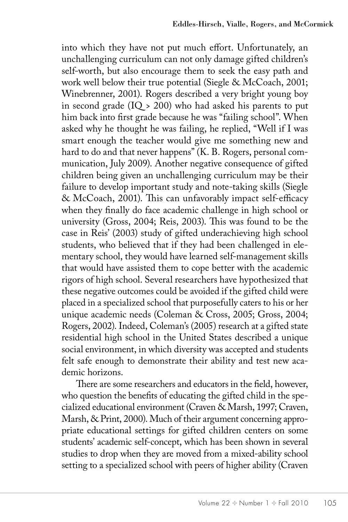into which they have not put much effort. Unfortunately, an unchallenging curriculum can not only damage gifted children's self-worth, but also encourage them to seek the easy path and work well below their true potential (Siegle & McCoach, 2001; Winebrenner, 2001). Rogers described a very bright young boy in second grade  $(IQ > 200)$  who had asked his parents to put him back into first grade because he was "failing school". When asked why he thought he was failing, he replied, "Well if I was smart enough the teacher would give me something new and hard to do and that never happens" (K. B. Rogers, personal communication, July 2009). Another negative consequence of gifted children being given an unchallenging curriculum may be their failure to develop important study and note-taking skills (Siegle & McCoach, 2001). This can unfavorably impact self-efficacy when they finally do face academic challenge in high school or university (Gross, 2004; Reis, 2003). This was found to be the case in Reis' (2003) study of gifted underachieving high school students, who believed that if they had been challenged in elementary school, they would have learned self-management skills that would have assisted them to cope better with the academic rigors of high school. Several researchers have hypothesized that these negative outcomes could be avoided if the gifted child were placed in a specialized school that purposefully caters to his or her unique academic needs (Coleman & Cross, 2005; Gross, 2004; Rogers, 2002). Indeed, Coleman's (2005) research at a gifted state residential high school in the United States described a unique social environment, in which diversity was accepted and students felt safe enough to demonstrate their ability and test new academic horizons.

There are some researchers and educators in the field, however, who question the benefits of educating the gifted child in the specialized educational environment (Craven & Marsh, 1997; Craven, Marsh, & Print, 2000). Much of their argument concerning appropriate educational settings for gifted children centers on some students' academic self-concept, which has been shown in several studies to drop when they are moved from a mixed-ability school setting to a specialized school with peers of higher ability (Craven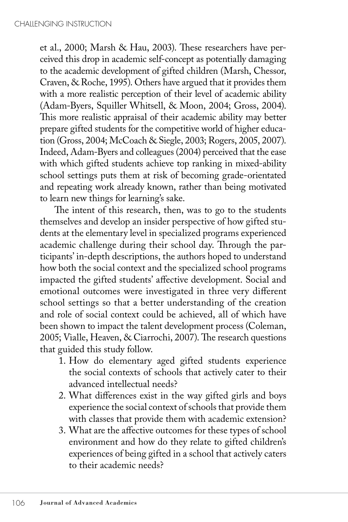et al., 2000; Marsh & Hau, 2003). These researchers have perceived this drop in academic self-concept as potentially damaging to the academic development of gifted children (Marsh, Chessor, Craven, & Roche, 1995). Others have argued that it provides them with a more realistic perception of their level of academic ability (Adam-Byers, Squiller Whitsell, & Moon, 2004; Gross, 2004). This more realistic appraisal of their academic ability may better prepare gifted students for the competitive world of higher education (Gross, 2004; McCoach & Siegle, 2003; Rogers, 2005, 2007). Indeed, Adam-Byers and colleagues (2004) perceived that the ease with which gifted students achieve top ranking in mixed-ability school settings puts them at risk of becoming grade-orientated and repeating work already known, rather than being motivated to learn new things for learning's sake.

The intent of this research, then, was to go to the students themselves and develop an insider perspective of how gifted students at the elementary level in specialized programs experienced academic challenge during their school day. Through the participants' in-depth descriptions, the authors hoped to understand how both the social context and the specialized school programs impacted the gifted students' affective development. Social and emotional outcomes were investigated in three very different school settings so that a better understanding of the creation and role of social context could be achieved, all of which have been shown to impact the talent development process (Coleman, 2005; Vialle, Heaven, & Ciarrochi, 2007). The research questions that guided this study follow.

- 1. How do elementary aged gifted students experience the social contexts of schools that actively cater to their advanced intellectual needs?
- 2. What differences exist in the way gifted girls and boys experience the social context of schools that provide them with classes that provide them with academic extension?
- 3. What are the affective outcomes for these types of school environment and how do they relate to gifted children's experiences of being gifted in a school that actively caters to their academic needs?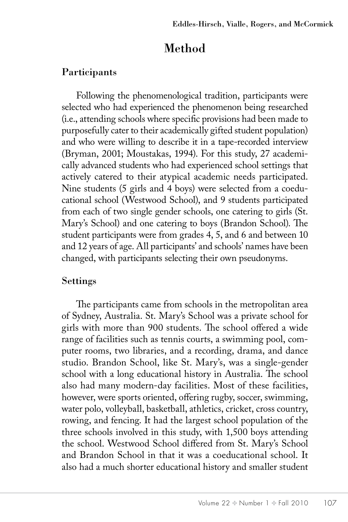# Method

#### Participants

Following the phenomenological tradition, participants were selected who had experienced the phenomenon being researched (i.e., attending schools where specific provisions had been made to purposefully cater to their academically gifted student population) and who were willing to describe it in a tape-recorded interview (Bryman, 2001; Moustakas, 1994). For this study, 27 academically advanced students who had experienced school settings that actively catered to their atypical academic needs participated. Nine students (5 girls and 4 boys) were selected from a coeducational school (Westwood School), and 9 students participated from each of two single gender schools, one catering to girls (St. Mary's School) and one catering to boys (Brandon School). The student participants were from grades 4, 5, and 6 and between 10 and 12 years of age. All participants' and schools' names have been changed, with participants selecting their own pseudonyms.

#### Settings

The participants came from schools in the metropolitan area of Sydney, Australia. St. Mary's School was a private school for girls with more than 900 students. The school offered a wide range of facilities such as tennis courts, a swimming pool, computer rooms, two libraries, and a recording, drama, and dance studio. Brandon School, like St. Mary's, was a single-gender school with a long educational history in Australia. The school also had many modern-day facilities. Most of these facilities, however, were sports oriented, offering rugby, soccer, swimming, water polo, volleyball, basketball, athletics, cricket, cross country, rowing, and fencing. It had the largest school population of the three schools involved in this study, with 1,500 boys attending the school. Westwood School differed from St. Mary's School and Brandon School in that it was a coeducational school. It also had a much shorter educational history and smaller student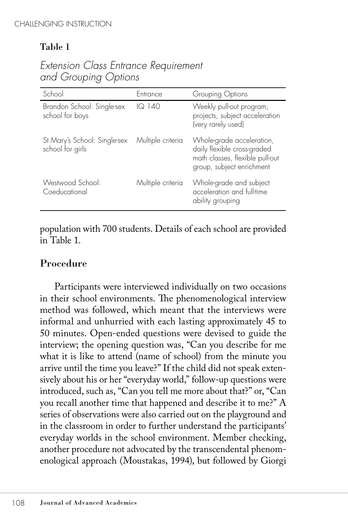## Table 1

| School                                           | Entrance          | Grouping Options                                                                                                         |
|--------------------------------------------------|-------------------|--------------------------------------------------------------------------------------------------------------------------|
| Brandon School: Single-sex<br>school for boys    | IQ 140            | Weekly pull-out program,<br>projects, subject acceleration<br>(very rarely used)                                         |
| St Mary's School: Single-sex<br>school for girls | Multiple criteria | Whole-grade acceleration,<br>daily flexible cross-graded<br>math classes, flexible pull-out<br>group, subject enrichment |
| Westwood School:<br>Coeducational                | Multiple criteria | Whole-grade and subject<br>acceleration and full-time<br>ability grouping                                                |

*Extension Class Entrance Requirement and Grouping Options*

population with 700 students. Details of each school are provided in Table 1.

#### Procedure

Participants were interviewed individually on two occasions in their school environments. The phenomenological interview method was followed, which meant that the interviews were informal and unhurried with each lasting approximately 45 to 50 minutes. Open-ended questions were devised to guide the interview; the opening question was, "Can you describe for me what it is like to attend (name of school) from the minute you arrive until the time you leave?" If the child did not speak extensively about his or her "everyday world," follow-up questions were introduced, such as, "Can you tell me more about that?" or, "Can you recall another time that happened and describe it to me?" A series of observations were also carried out on the playground and in the classroom in order to further understand the participants' everyday worlds in the school environment. Member checking, another procedure not advocated by the transcendental phenomenological approach (Moustakas, 1994), but followed by Giorgi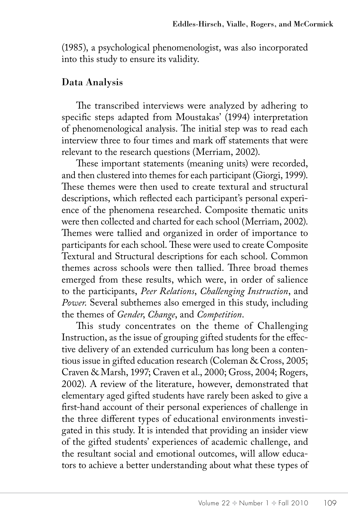(1985), a psychological phenomenologist, was also incorporated into this study to ensure its validity.

#### Data Analysis

The transcribed interviews were analyzed by adhering to specific steps adapted from Moustakas' (1994) interpretation of phenomenological analysis. The initial step was to read each interview three to four times and mark off statements that were relevant to the research questions (Merriam, 2002).

These important statements (meaning units) were recorded, and then clustered into themes for each participant (Giorgi, 1999). These themes were then used to create textural and structural descriptions, which reflected each participant's personal experience of the phenomena researched. Composite thematic units were then collected and charted for each school (Merriam, 2002). Themes were tallied and organized in order of importance to participants for each school. These were used to create Composite Textural and Structural descriptions for each school. Common themes across schools were then tallied. Three broad themes emerged from these results, which were, in order of salience to the participants, *Peer Relations*, *Challenging Instruction*, and *Power*. Several subthemes also emerged in this study, including the themes of *Gender*, *Change*, and *Competition*.

This study concentrates on the theme of Challenging Instruction, as the issue of grouping gifted students for the effective delivery of an extended curriculum has long been a contentious issue in gifted education research (Coleman & Cross, 2005; Craven & Marsh, 1997; Craven et al., 2000; Gross, 2004; Rogers, 2002). A review of the literature, however, demonstrated that elementary aged gifted students have rarely been asked to give a first-hand account of their personal experiences of challenge in the three different types of educational environments investigated in this study. It is intended that providing an insider view of the gifted students' experiences of academic challenge, and the resultant social and emotional outcomes, will allow educators to achieve a better understanding about what these types of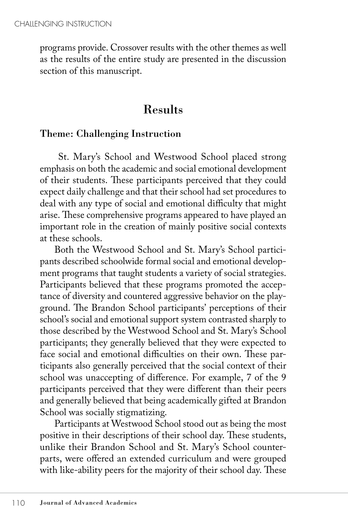programs provide. Crossover results with the other themes as well as the results of the entire study are presented in the discussion section of this manuscript.

# Results

#### Theme: Challenging Instruction

 St. Mary's School and Westwood School placed strong emphasis on both the academic and social emotional development of their students. These participants perceived that they could expect daily challenge and that their school had set procedures to deal with any type of social and emotional difficulty that might arise. These comprehensive programs appeared to have played an important role in the creation of mainly positive social contexts at these schools.

Both the Westwood School and St. Mary's School participants described schoolwide formal social and emotional development programs that taught students a variety of social strategies. Participants believed that these programs promoted the acceptance of diversity and countered aggressive behavior on the playground. The Brandon School participants' perceptions of their school's social and emotional support system contrasted sharply to those described by the Westwood School and St. Mary's School participants; they generally believed that they were expected to face social and emotional difficulties on their own. These participants also generally perceived that the social context of their school was unaccepting of difference. For example, 7 of the 9 participants perceived that they were different than their peers and generally believed that being academically gifted at Brandon School was socially stigmatizing.

Participants at Westwood School stood out as being the most positive in their descriptions of their school day. These students, unlike their Brandon School and St. Mary's School counterparts, were offered an extended curriculum and were grouped with like-ability peers for the majority of their school day. These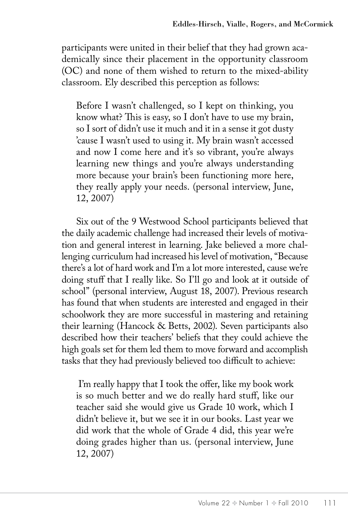participants were united in their belief that they had grown academically since their placement in the opportunity classroom (OC) and none of them wished to return to the mixed-ability classroom. Ely described this perception as follows:

Before I wasn't challenged, so I kept on thinking, you know what? This is easy, so I don't have to use my brain, so I sort of didn't use it much and it in a sense it got dusty 'cause I wasn't used to using it. My brain wasn't accessed and now I come here and it's so vibrant, you're always learning new things and you're always understanding more because your brain's been functioning more here, they really apply your needs. (personal interview, June, 12, 2007)

Six out of the 9 Westwood School participants believed that the daily academic challenge had increased their levels of motivation and general interest in learning. Jake believed a more challenging curriculum had increased his level of motivation, "Because there's a lot of hard work and I'm a lot more interested, cause we're doing stuff that I really like. So I'll go and look at it outside of school" (personal interview, August 18, 2007). Previous research has found that when students are interested and engaged in their schoolwork they are more successful in mastering and retaining their learning (Hancock & Betts, 2002). Seven participants also described how their teachers' beliefs that they could achieve the high goals set for them led them to move forward and accomplish tasks that they had previously believed too difficult to achieve:

 I'm really happy that I took the offer, like my book work is so much better and we do really hard stuff, like our teacher said she would give us Grade 10 work, which I didn't believe it, but we see it in our books. Last year we did work that the whole of Grade 4 did, this year we're doing grades higher than us. (personal interview, June 12, 2007)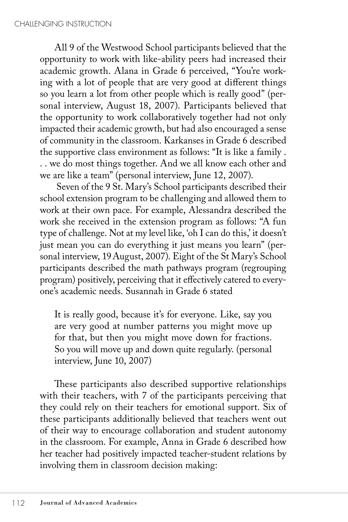All 9 of the Westwood School participants believed that the opportunity to work with like-ability peers had increased their academic growth. Alana in Grade 6 perceived, "You're working with a lot of people that are very good at different things so you learn a lot from other people which is really good" (personal interview, August 18, 2007). Participants believed that the opportunity to work collaboratively together had not only impacted their academic growth, but had also encouraged a sense of community in the classroom. Karkanses in Grade 6 described the supportive class environment as follows: "It is like a family . . . we do most things together. And we all know each other and we are like a team" (personal interview, June 12, 2007).

 Seven of the 9 St. Mary's School participants described their school extension program to be challenging and allowed them to work at their own pace. For example, Alessandra described the work she received in the extension program as follows: "A fun type of challenge. Not at my level like, 'oh I can do this,' it doesn't just mean you can do everything it just means you learn" (personal interview, 19August, 2007). Eight of the St Mary's School participants described the math pathways program (regrouping program) positively, perceiving that it effectively catered to everyone's academic needs. Susannah in Grade 6 stated

It is really good, because it's for everyone. Like, say you are very good at number patterns you might move up for that, but then you might move down for fractions. So you will move up and down quite regularly. (personal interview, June 10, 2007)

These participants also described supportive relationships with their teachers, with 7 of the participants perceiving that they could rely on their teachers for emotional support. Six of these participants additionally believed that teachers went out of their way to encourage collaboration and student autonomy in the classroom. For example, Anna in Grade 6 described how her teacher had positively impacted teacher-student relations by involving them in classroom decision making: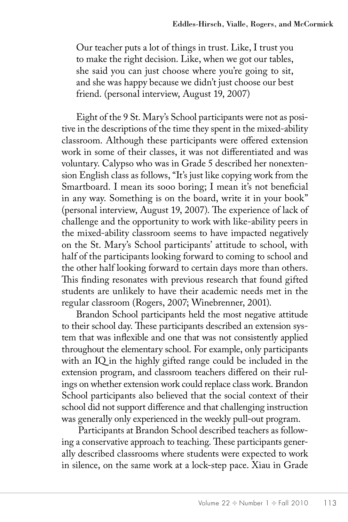Our teacher puts a lot of things in trust. Like, I trust you to make the right decision. Like, when we got our tables, she said you can just choose where you're going to sit, and she was happy because we didn't just choose our best friend. (personal interview, August 19, 2007)

Eight of the 9 St. Mary's School participants were not as positive in the descriptions of the time they spent in the mixed-ability classroom. Although these participants were offered extension work in some of their classes, it was not differentiated and was voluntary. Calypso who was in Grade 5 described her nonextension English class as follows, "It's just like copying work from the Smartboard. I mean its sooo boring; I mean it's not beneficial in any way. Something is on the board, write it in your book" (personal interview, August 19, 2007). The experience of lack of challenge and the opportunity to work with like-ability peers in the mixed-ability classroom seems to have impacted negatively on the St. Mary's School participants' attitude to school, with half of the participants looking forward to coming to school and the other half looking forward to certain days more than others. This finding resonates with previous research that found gifted students are unlikely to have their academic needs met in the regular classroom (Rogers, 2007; Winebrenner, 2001).

Brandon School participants held the most negative attitude to their school day. These participants described an extension system that was inflexible and one that was not consistently applied throughout the elementary school. For example, only participants with an IQ in the highly gifted range could be included in the extension program, and classroom teachers differed on their rulings on whether extension work could replace class work. Brandon School participants also believed that the social context of their school did not support difference and that challenging instruction was generally only experienced in the weekly pull-out program.

 Participants at Brandon School described teachers as following a conservative approach to teaching. These participants generally described classrooms where students were expected to work in silence, on the same work at a lock-step pace. Xiau in Grade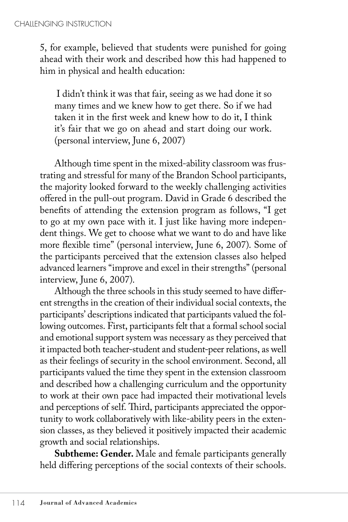5, for example, believed that students were punished for going ahead with their work and described how this had happened to him in physical and health education:

 I didn't think it was that fair, seeing as we had done it so many times and we knew how to get there. So if we had taken it in the first week and knew how to do it, I think it's fair that we go on ahead and start doing our work. (personal interview, June 6, 2007)

Although time spent in the mixed-ability classroom was frustrating and stressful for many of the Brandon School participants, the majority looked forward to the weekly challenging activities offered in the pull-out program. David in Grade 6 described the benefits of attending the extension program as follows, "I get to go at my own pace with it. I just like having more independent things. We get to choose what we want to do and have like more flexible time" (personal interview, June 6, 2007). Some of the participants perceived that the extension classes also helped advanced learners "improve and excel in their strengths" (personal interview, June 6, 2007).

Although the three schools in this study seemed to have different strengths in the creation of their individual social contexts, the participants' descriptions indicated that participants valued the following outcomes. First, participants felt that a formal school social and emotional support system was necessary as they perceived that it impacted both teacher-student and student-peer relations, as well as their feelings of security in the school environment. Second, all participants valued the time they spent in the extension classroom and described how a challenging curriculum and the opportunity to work at their own pace had impacted their motivational levels and perceptions of self. Third, participants appreciated the opportunity to work collaboratively with like-ability peers in the extension classes, as they believed it positively impacted their academic growth and social relationships.

**Subtheme: Gender.** Male and female participants generally held differing perceptions of the social contexts of their schools.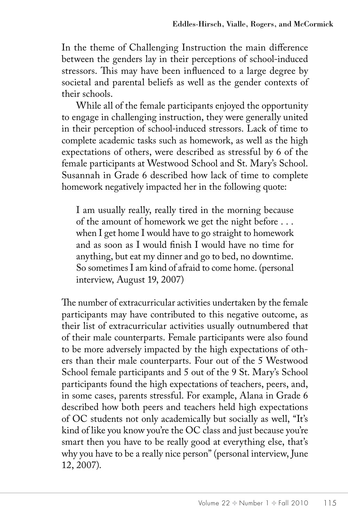In the theme of Challenging Instruction the main difference between the genders lay in their perceptions of school-induced stressors. This may have been influenced to a large degree by societal and parental beliefs as well as the gender contexts of their schools.

While all of the female participants enjoyed the opportunity to engage in challenging instruction, they were generally united in their perception of school-induced stressors. Lack of time to complete academic tasks such as homework, as well as the high expectations of others, were described as stressful by 6 of the female participants at Westwood School and St. Mary's School. Susannah in Grade 6 described how lack of time to complete homework negatively impacted her in the following quote:

I am usually really, really tired in the morning because of the amount of homework we get the night before . . . when I get home I would have to go straight to homework and as soon as I would finish I would have no time for anything, but eat my dinner and go to bed, no downtime. So sometimes I am kind of afraid to come home. (personal interview, August 19, 2007)

The number of extracurricular activities undertaken by the female participants may have contributed to this negative outcome, as their list of extracurricular activities usually outnumbered that of their male counterparts. Female participants were also found to be more adversely impacted by the high expectations of others than their male counterparts. Four out of the 5 Westwood School female participants and 5 out of the 9 St. Mary's School participants found the high expectations of teachers, peers, and, in some cases, parents stressful. For example, Alana in Grade 6 described how both peers and teachers held high expectations of OC students not only academically but socially as well, "It's kind of like you know you're the OC class and just because you're smart then you have to be really good at everything else, that's why you have to be a really nice person" (personal interview, June 12, 2007).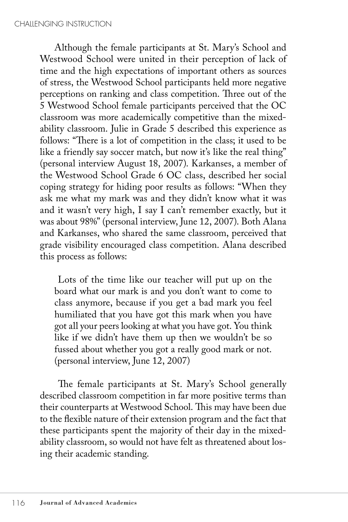Although the female participants at St. Mary's School and Westwood School were united in their perception of lack of time and the high expectations of important others as sources of stress, the Westwood School participants held more negative perceptions on ranking and class competition. Three out of the 5 Westwood School female participants perceived that the OC classroom was more academically competitive than the mixedability classroom. Julie in Grade 5 described this experience as follows: "There is a lot of competition in the class; it used to be like a friendly say soccer match, but now it's like the real thing" (personal interview August 18, 2007). Karkanses, a member of the Westwood School Grade 6 OC class, described her social coping strategy for hiding poor results as follows: "When they ask me what my mark was and they didn't know what it was and it wasn't very high, I say I can't remember exactly, but it was about 98%" (personal interview, June 12, 2007). Both Alana and Karkanses, who shared the same classroom, perceived that grade visibility encouraged class competition. Alana described this process as follows:

 Lots of the time like our teacher will put up on the board what our mark is and you don't want to come to class anymore, because if you get a bad mark you feel humiliated that you have got this mark when you have got all your peers looking at what you have got. You think like if we didn't have them up then we wouldn't be so fussed about whether you got a really good mark or not. (personal interview, June 12, 2007)

The female participants at St. Mary's School generally described classroom competition in far more positive terms than their counterparts at Westwood School. This may have been due to the flexible nature of their extension program and the fact that these participants spent the majority of their day in the mixedability classroom, so would not have felt as threatened about losing their academic standing.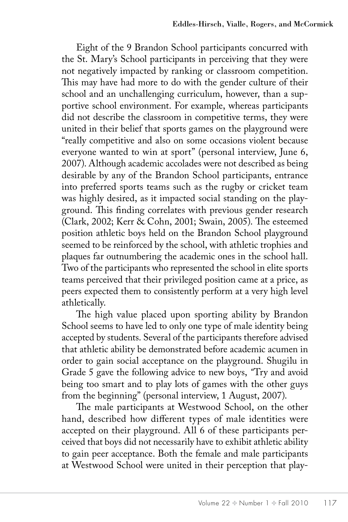Eight of the 9 Brandon School participants concurred with the St. Mary's School participants in perceiving that they were not negatively impacted by ranking or classroom competition. This may have had more to do with the gender culture of their school and an unchallenging curriculum, however, than a supportive school environment. For example, whereas participants did not describe the classroom in competitive terms, they were united in their belief that sports games on the playground were "really competitive and also on some occasions violent because everyone wanted to win at sport" (personal interview, June 6, 2007). Although academic accolades were not described as being desirable by any of the Brandon School participants, entrance into preferred sports teams such as the rugby or cricket team was highly desired, as it impacted social standing on the playground. This finding correlates with previous gender research (Clark, 2002; Kerr & Cohn, 2001; Swain, 2005). The esteemed position athletic boys held on the Brandon School playground seemed to be reinforced by the school, with athletic trophies and plaques far outnumbering the academic ones in the school hall. Two of the participants who represented the school in elite sports teams perceived that their privileged position came at a price, as peers expected them to consistently perform at a very high level athletically.

The high value placed upon sporting ability by Brandon School seems to have led to only one type of male identity being accepted by students. Several of the participants therefore advised that athletic ability be demonstrated before academic acumen in order to gain social acceptance on the playground. Shugilu in Grade 5 gave the following advice to new boys, *"*Try and avoid being too smart and to play lots of games with the other guys from the beginning" (personal interview, 1 August, 2007).

The male participants at Westwood School, on the other hand, described how different types of male identities were accepted on their playground. All 6 of these participants perceived that boys did not necessarily have to exhibit athletic ability to gain peer acceptance. Both the female and male participants at Westwood School were united in their perception that play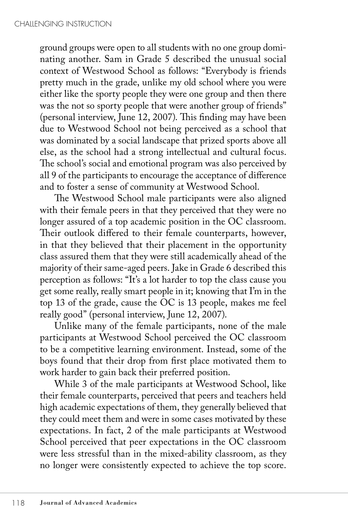ground groups were open to all students with no one group dominating another. Sam in Grade 5 described the unusual social context of Westwood School as follows: "Everybody is friends pretty much in the grade, unlike my old school where you were either like the sporty people they were one group and then there was the not so sporty people that were another group of friends" (personal interview, June 12, 2007). This finding may have been due to Westwood School not being perceived as a school that was dominated by a social landscape that prized sports above all else, as the school had a strong intellectual and cultural focus. The school's social and emotional program was also perceived by all 9 of the participants to encourage the acceptance of difference and to foster a sense of community at Westwood School.

The Westwood School male participants were also aligned with their female peers in that they perceived that they were no longer assured of a top academic position in the OC classroom. Their outlook differed to their female counterparts, however, in that they believed that their placement in the opportunity class assured them that they were still academically ahead of the majority of their same-aged peers. Jake in Grade 6 described this perception as follows: "It's a lot harder to top the class cause you get some really, really smart people in it; knowing that I'm in the top 13 of the grade, cause the OC is 13 people, makes me feel really good" (personal interview, June 12, 2007).

Unlike many of the female participants, none of the male participants at Westwood School perceived the OC classroom to be a competitive learning environment. Instead, some of the boys found that their drop from first place motivated them to work harder to gain back their preferred position.

While 3 of the male participants at Westwood School, like their female counterparts, perceived that peers and teachers held high academic expectations of them, they generally believed that they could meet them and were in some cases motivated by these expectations. In fact, 2 of the male participants at Westwood School perceived that peer expectations in the OC classroom were less stressful than in the mixed-ability classroom, as they no longer were consistently expected to achieve the top score.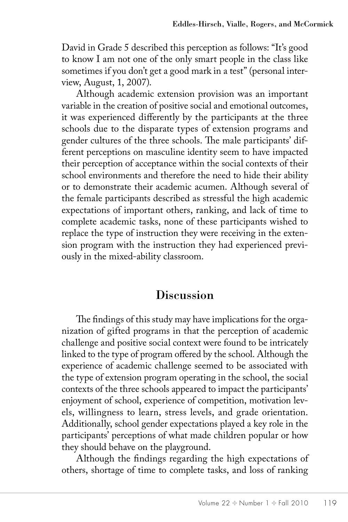David in Grade 5 described this perception as follows: "It's good to know I am not one of the only smart people in the class like sometimes if you don't get a good mark in a test" (personal interview, August, 1, 2007).

Although academic extension provision was an important variable in the creation of positive social and emotional outcomes, it was experienced differently by the participants at the three schools due to the disparate types of extension programs and gender cultures of the three schools. The male participants' different perceptions on masculine identity seem to have impacted their perception of acceptance within the social contexts of their school environments and therefore the need to hide their ability or to demonstrate their academic acumen. Although several of the female participants described as stressful the high academic expectations of important others, ranking, and lack of time to complete academic tasks, none of these participants wished to replace the type of instruction they were receiving in the extension program with the instruction they had experienced previously in the mixed-ability classroom.

### **Discussion**

The findings of this study may have implications for the organization of gifted programs in that the perception of academic challenge and positive social context were found to be intricately linked to the type of program offered by the school. Although the experience of academic challenge seemed to be associated with the type of extension program operating in the school, the social contexts of the three schools appeared to impact the participants' enjoyment of school, experience of competition, motivation levels, willingness to learn, stress levels, and grade orientation. Additionally, school gender expectations played a key role in the participants' perceptions of what made children popular or how they should behave on the playground.

Although the findings regarding the high expectations of others, shortage of time to complete tasks, and loss of ranking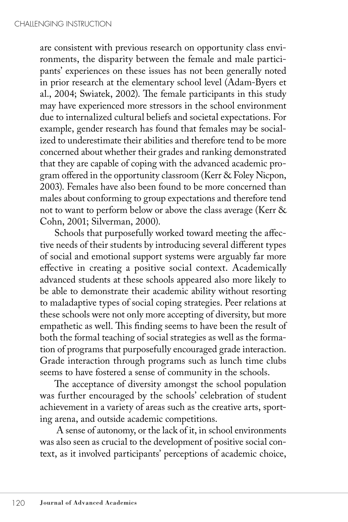are consistent with previous research on opportunity class environments, the disparity between the female and male participants' experiences on these issues has not been generally noted in prior research at the elementary school level (Adam-Byers et al., 2004; Swiatek, 2002). The female participants in this study may have experienced more stressors in the school environment due to internalized cultural beliefs and societal expectations. For example, gender research has found that females may be socialized to underestimate their abilities and therefore tend to be more concerned about whether their grades and ranking demonstrated that they are capable of coping with the advanced academic program offered in the opportunity classroom (Kerr & Foley Nicpon, 2003). Females have also been found to be more concerned than males about conforming to group expectations and therefore tend not to want to perform below or above the class average (Kerr & Cohn, 2001; Silverman, 2000).

Schools that purposefully worked toward meeting the affective needs of their students by introducing several different types of social and emotional support systems were arguably far more effective in creating a positive social context. Academically advanced students at these schools appeared also more likely to be able to demonstrate their academic ability without resorting to maladaptive types of social coping strategies. Peer relations at these schools were not only more accepting of diversity, but more empathetic as well. This finding seems to have been the result of both the formal teaching of social strategies as well as the formation of programs that purposefully encouraged grade interaction. Grade interaction through programs such as lunch time clubs seems to have fostered a sense of community in the schools.

The acceptance of diversity amongst the school population was further encouraged by the schools' celebration of student achievement in a variety of areas such as the creative arts, sporting arena, and outside academic competitions.

 A sense of autonomy, or the lack of it, in school environments was also seen as crucial to the development of positive social context, as it involved participants' perceptions of academic choice,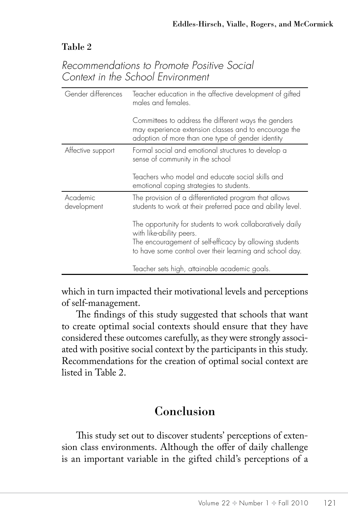#### Table 2

#### *Recommendations to Promote Positive Social Context in the School Environment*

| Gender differences      | Teacher education in the affective development of gifted<br>males and females.                                                                                                                                |
|-------------------------|---------------------------------------------------------------------------------------------------------------------------------------------------------------------------------------------------------------|
|                         | Committees to address the different ways the genders<br>may experience extension classes and to encourage the<br>adoption of more than one type of gender identity                                            |
| Affective support       | Formal social and emotional structures to develop a<br>sense of community in the school                                                                                                                       |
|                         | Teachers who model and educate social skills and<br>emotional coping strategies to students.                                                                                                                  |
| Academic<br>development | The provision of a differentiated program that allows<br>students to work at their preferred pace and ability level.                                                                                          |
|                         | The opportunity for students to work collaboratively daily<br>with like-ability peers.<br>The encouragement of self-efficacy by allowing students<br>to have some control over their learning and school day. |
|                         | Teacher sets high, attainable academic goals.                                                                                                                                                                 |

which in turn impacted their motivational levels and perceptions of self-management.

The findings of this study suggested that schools that want to create optimal social contexts should ensure that they have considered these outcomes carefully, as they were strongly associated with positive social context by the participants in this study. Recommendations for the creation of optimal social context are listed in Table 2.

# Conclusion

This study set out to discover students' perceptions of extension class environments. Although the offer of daily challenge is an important variable in the gifted child's perceptions of a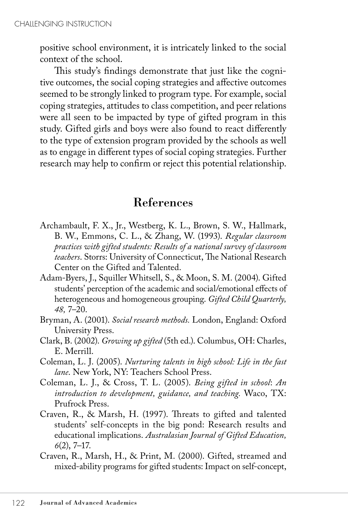positive school environment, it is intricately linked to the social context of the school.

This study's findings demonstrate that just like the cognitive outcomes, the social coping strategies and affective outcomes seemed to be strongly linked to program type. For example, social coping strategies, attitudes to class competition, and peer relations were all seen to be impacted by type of gifted program in this study. Gifted girls and boys were also found to react differently to the type of extension program provided by the schools as well as to engage in different types of social coping strategies. Further research may help to confirm or reject this potential relationship.

# References

- Archambault, F. X., Jr., Westberg, K. L., Brown, S. W., Hallmark, B. W., Emmons, C. L., & Zhang, W. (1993). *Regular classroom practices with gifted students: Results of a national survey of classroom teachers*. Storrs: University of Connecticut, The National Research Center on the Gifted and Talented.
- Adam-Byers, J., Squiller Whitsell, S., & Moon, S. M. (2004). Gifted students' perception of the academic and social/emotional effects of heterogeneous and homogeneous grouping. *Gifted Child Quarterly, 48,* 7–20.
- Bryman, A. (2001). *Social research methods.* London, England: Oxford University Press.
- Clark, B. (2002). *Growing up gifted* (5th ed.). Columbus, OH: Charles, E. Merrill.
- Coleman, L. J. (2005). *Nurturing talents in high school: Life in the fast lane*. New York, NY: Teachers School Press.
- Coleman, L. J., & Cross, T. L. (2005). *Being gifted in school*: *An introduction to development, guidance, and teaching.* Waco, TX: Prufrock Press.
- Craven, R., & Marsh, H. (1997). Threats to gifted and talented students' self-concepts in the big pond: Research results and educational implications. *Australasian Journal of Gifted Education, 6*(2), 7–17.
- Craven, R., Marsh, H., & Print, M. (2000). Gifted, streamed and mixed-ability programs for gifted students: Impact on self-concept,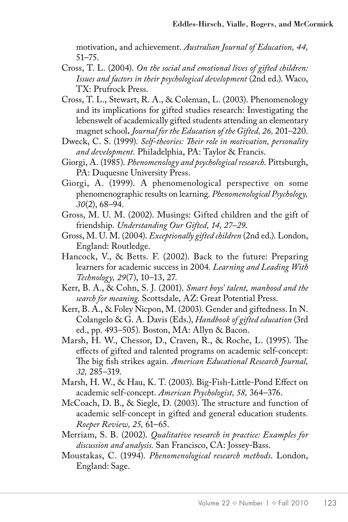motivation, and achievement. *Australian Journal of Education, 44,* 51–75.

- Cross, T. L. (2004). *On the social and emotional lives of gifted children: Issues and factors in their psychological development* (2nd ed.). Waco, TX: Prufrock Press.
- Cross, T. L., Stewart, R. A., & Coleman, L. (2003). Phenomenology and its implications for gifted studies research: Investigating the lebenswelt of academically gifted students attending an elementary magnet school**.** *Journal for the Education of the Gifted, 26,* 201–220.
- Dweck, C. S. (1999). *Self-theories: Their role in motivation, personality and development.* Philadelphia, PA: Taylor & Francis.
- Giorgi, A. (1985). *Phenomenology and psychological research*. Pittsburgh, PA: Duquesne University Press.
- Giorgi, A. (1999). A phenomenological perspective on some phenomenographic results on learning. *Phenomenological Psychology, 30*(2), 68–94.
- Gross, M. U. M. (2002). Musings: Gifted children and the gift of friendship. *Understanding Our Gifted, 14, 27–29*.
- Gross, M. U. M. (2004). *Exceptionally gifted children* (2nd ed.). London, England: Routledge.
- Hancock, V., & Betts. F. (2002). Back to the future: Preparing learners for academic success in 2004*. Learning and Leading With Technology, 29*(7), 10–13, 27.
- Kerr, B. A., & Cohn, S. J. (2001). *Smart boys' talent, manhood and the search for meaning*. Scottsdale, AZ: Great Potential Press.
- Kerr, B. A., & Foley Nicpon, M. (2003). Gender and giftedness.In N. Colangelo & G. A. Davis (Eds.), *Handbook of gifted education* (3rd ed., pp. 493–505). Boston, MA: Allyn & Bacon.
- Marsh, H. W., Chessor, D., Craven, R., & Roche, L. (1995). The effects of gifted and talented programs on academic self-concept: The big fish strikes again. *American Educational Research Journal, 32,* 285–319.
- Marsh, H. W., & Hau, K. T. (2003). Big-Fish-Little-Pond Effect on academic self-concept. *American Psychologist, 58,* 364–376.
- McCoach, D. B., & Siegle, D. (2003). The structure and function of academic self-concept in gifted and general education students*. Roeper Review, 25,* 61–65.
- Merriam, S. B. (2002). *Qualitative research in practice: Examples for discussion and analysis.* San Francisco, CA: Jossey-Bass.
- Moustakas, C. (1994). *Phenomenological research methods*. London, England: Sage.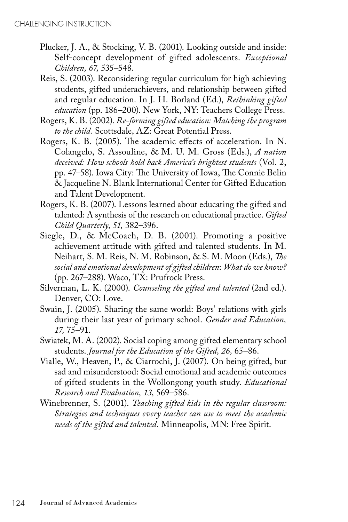- Plucker, J. A., & Stocking, V. B. (2001). Looking outside and inside: Self-concept development of gifted adolescents. *Exceptional Children, 67,* 535–548.
- Reis, S. (2003). Reconsidering regular curriculum for high achieving students, gifted underachievers, and relationship between gifted and regular education. In J. H. Borland (Ed.), *Rethinking gifted education* (pp. 186–200). New York, NY: Teachers College Press.
- Rogers, K. B. (2002). *Re-forming gifted education: Matching the program to the child.* Scottsdale, AZ: Great Potential Press.
- Rogers, K. B. (2005). The academic effects of acceleration. In N. Colangelo, S. Assouline, & M. U. M. Gross (Eds.), *A nation deceived: How schools hold back America's brightest students* (Vol. 2, pp. 47–58). Iowa City: The University of Iowa, The Connie Belin & Jacqueline N. Blank International Center for Gifted Education and Talent Development.
- Rogers, K. B. (2007). Lessons learned about educating the gifted and talented: A synthesis of the research on educational practice. *Gifted Child Quarterly, 51,* 382–396.
- Siegle, D., & McCoach, D. B. (2001). Promoting a positive achievement attitude with gifted and talented students. In M. Neihart, S. M. Reis, N. M. Robinson, & S. M. Moon (Eds.), *The social and emotional development of gifted children*: *What do we know?* (pp. 267–288). Waco, TX: Prufrock Press.
- Silverman, L. K. (2000). *Counseling the gifted and talented* (2nd ed.). Denver, CO: Love.
- Swain, J. (2005). Sharing the same world: Boys' relations with girls during their last year of primary school. *Gender and Education, 17,* 75–91.
- Swiatek, M. A. (2002). Social coping among gifted elementary school students. *Journal for the Education of the Gifted, 26,* 65–86.
- Vialle, W., Heaven, P., & Ciarrochi, J. (2007). On being gifted, but sad and misunderstood: Social emotional and academic outcomes of gifted students in the Wollongong youth study. *Educational Research and Evaluation, 13,* 569–586.
- Winebrenner, S. (2001). *Teaching gifted kids in the regular classroom: Strategies and techniques every teacher can use to meet the academic needs of the gifted and talented.* Minneapolis, MN: Free Spirit.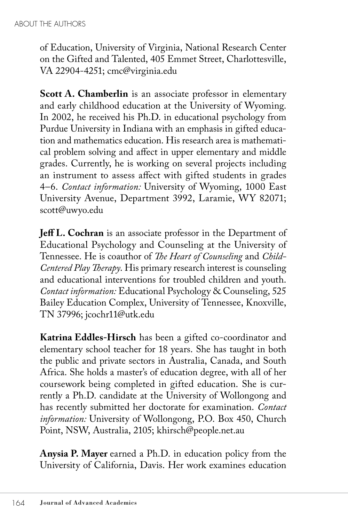of Education, University of Virginia, National Research Center on the Gifted and Talented, 405 Emmet Street, Charlottesville, VA 22904-4251; cmc@virginia.edu

**Scott A. Chamberlin** is an associate professor in elementary and early childhood education at the University of Wyoming. In 2002, he received his Ph.D. in educational psychology from Purdue University in Indiana with an emphasis in gifted education and mathematics education. His research area is mathematical problem solving and affect in upper elementary and middle grades. Currently, he is working on several projects including an instrument to assess affect with gifted students in grades 4–6. *Contact information:* University of Wyoming, 1000 East University Avenue, Department 3992, Laramie, WY 82071; scott@uwyo.edu

**Jeff L. Cochran** is an associate professor in the Department of Educational Psychology and Counseling at the University of Tennessee. He is coauthor of *The Heart of Counseling* and *Child-Centered Play Therapy*. His primary research interest is counseling and educational interventions for troubled children and youth. *Contact information:* Educational Psychology & Counseling, 525 Bailey Education Complex, University of Tennessee, Knoxville, TN 37996; jcochr11@utk.edu

**Katrina Eddles-Hirsch** has been a gifted co-coordinator and elementary school teacher for 18 years. She has taught in both the public and private sectors in Australia, Canada, and South Africa. She holds a master's of education degree, with all of her coursework being completed in gifted education. She is currently a Ph.D. candidate at the University of Wollongong and has recently submitted her doctorate for examination. *Contact information:* University of Wollongong, P.O. Box 450, Church Point, NSW, Australia, 2105; khirsch@people.net.au

**Anysia P. Mayer** earned a Ph.D. in education policy from the University of California, Davis. Her work examines education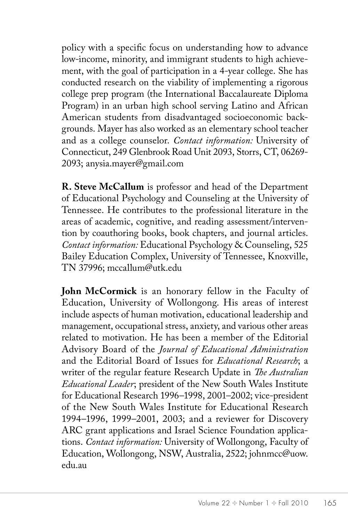policy with a specific focus on understanding how to advance low-income, minority, and immigrant students to high achievement, with the goal of participation in a 4-year college. She has conducted research on the viability of implementing a rigorous college prep program (the International Baccalaureate Diploma Program) in an urban high school serving Latino and African American students from disadvantaged socioeconomic backgrounds. Mayer has also worked as an elementary school teacher and as a college counselor. *Contact information:* University of Connecticut, 249 Glenbrook Road Unit 2093, Storrs, CT, 06269- 2093; anysia.mayer@gmail.com

**R. Steve McCallum** is professor and head of the Department of Educational Psychology and Counseling at the University of Tennessee. He contributes to the professional literature in the areas of academic, cognitive, and reading assessment/intervention by coauthoring books, book chapters, and journal articles. *Contact information:* Educational Psychology & Counseling, 525 Bailey Education Complex, University of Tennessee, Knoxville, TN 37996; mccallum@utk.edu

**John McCormick** is an honorary fellow in the Faculty of Education, University of Wollongong. His areas of interest include aspects of human motivation, educational leadership and management, occupational stress, anxiety, and various other areas related to motivation. He has been a member of the Editorial Advisory Board of the *Journal of Educational Administration* and the Editorial Board of Issues for *Educational Research*; a writer of the regular feature Research Update in *The Australian Educational Leader*; president of the New South Wales Institute for Educational Research 1996–1998, 2001–2002; vice-president of the New South Wales Institute for Educational Research 1994–1996, 1999–2001, 2003; and a reviewer for Discovery ARC grant applications and Israel Science Foundation applications. *Contact information:* University of Wollongong, Faculty of Education, Wollongong, NSW, Australia, 2522; johnmcc@uow. edu.au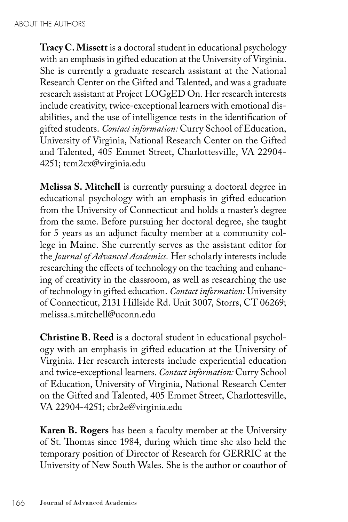**Tracy C. Missett** is a doctoral student in educational psychology with an emphasis in gifted education at the University of Virginia. She is currently a graduate research assistant at the National Research Center on the Gifted and Talented, and was a graduate research assistant at Project LOGgED On. Her research interests include creativity, twice-exceptional learners with emotional disabilities, and the use of intelligence tests in the identification of gifted students. *Contact information:* Curry School of Education, University of Virginia, National Research Center on the Gifted and Talented, 405 Emmet Street, Charlottesville, VA 22904- 4251; tcm2cx@virginia.edu

**Melissa S. Mitchell** is currently pursuing a doctoral degree in educational psychology with an emphasis in gifted education from the University of Connecticut and holds a master's degree from the same. Before pursuing her doctoral degree, she taught for 5 years as an adjunct faculty member at a community college in Maine. She currently serves as the assistant editor for the *Journal of Advanced Academics.* Her scholarly interests include researching the effects of technology on the teaching and enhancing of creativity in the classroom, as well as researching the use of technology in gifted education. *Contact information:* University of Connecticut, 2131 Hillside Rd. Unit 3007, Storrs, CT 06269; melissa.s.mitchell@uconn.edu

**Christine B. Reed** is a doctoral student in educational psychology with an emphasis in gifted education at the University of Virginia. Her research interests include experiential education and twice-exceptional learners. *Contact information:* Curry School of Education, University of Virginia, National Research Center on the Gifted and Talented, 405 Emmet Street, Charlottesville, VA 22904-4251; cbr2e@virginia.edu

**Karen B. Rogers** has been a faculty member at the University of St. Thomas since 1984, during which time she also held the temporary position of Director of Research for GERRIC at the University of New South Wales. She is the author or coauthor of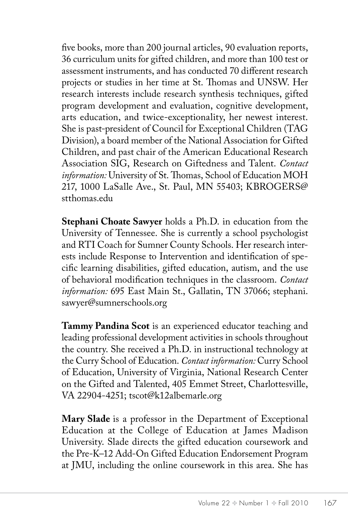five books, more than 200 journal articles, 90 evaluation reports, 36 curriculum units for gifted children, and more than 100 test or assessment instruments, and has conducted 70 different research projects or studies in her time at St. Thomas and UNSW. Her research interests include research synthesis techniques, gifted program development and evaluation, cognitive development, arts education, and twice-exceptionality, her newest interest. She is past-president of Council for Exceptional Children (TAG Division), a board member of the National Association for Gifted Children, and past chair of the American Educational Research Association SIG, Research on Giftedness and Talent. *Contact information:* University of St. Thomas, School of Education MOH 217, 1000 LaSalle Ave., St. Paul, MN 55403; KBROGERS@ stthomas.edu

**Stephani Choate Sawyer** holds a Ph.D. in education from the University of Tennessee. She is currently a school psychologist and RTI Coach for Sumner County Schools. Her research interests include Response to Intervention and identification of specific learning disabilities, gifted education, autism, and the use of behavioral modification techniques in the classroom. *Contact information:* 695 East Main St., Gallatin, TN 37066; stephani. sawyer@sumnerschools.org

**Tammy Pandina Scot** is an experienced educator teaching and leading professional development activities in schools throughout the country. She received a Ph.D. in instructional technology at the Curry School of Education. *Contact information:* Curry School of Education, University of Virginia, National Research Center on the Gifted and Talented, 405 Emmet Street, Charlottesville, VA 22904-4251; tscot@k12albemarle.org

**Mary Slade** is a professor in the Department of Exceptional Education at the College of Education at James Madison University. Slade directs the gifted education coursework and the Pre-K–12 Add-On Gifted Education Endorsement Program at JMU, including the online coursework in this area. She has